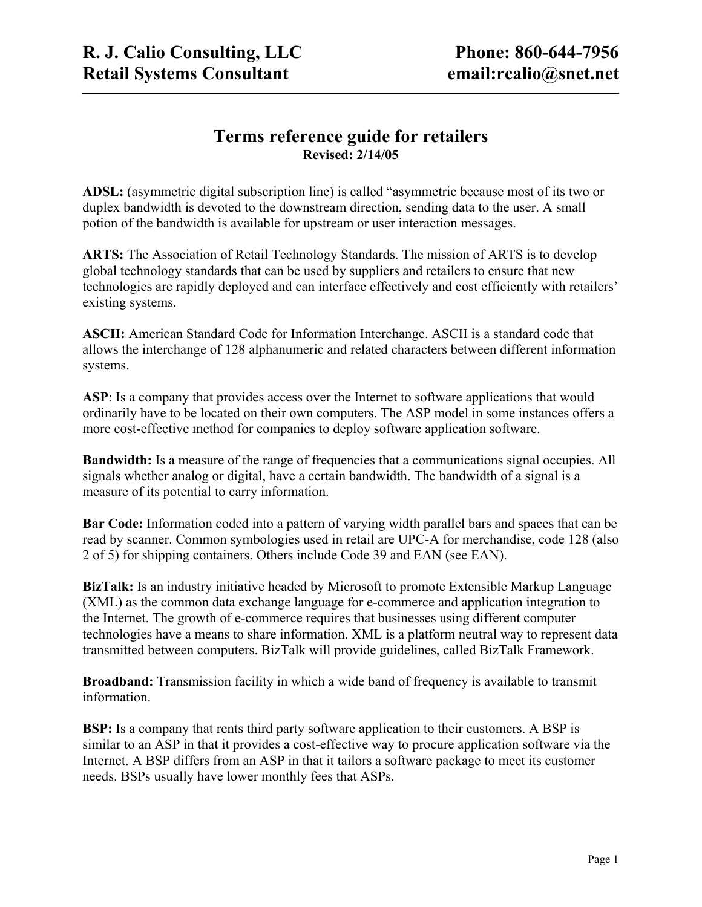## **Terms reference guide for retailers Revised: 2/14/05**

**ADSL:** (asymmetric digital subscription line) is called "asymmetric because most of its two or duplex bandwidth is devoted to the downstream direction, sending data to the user. A small potion of the bandwidth is available for upstream or user interaction messages.

**ARTS:** The Association of Retail Technology Standards. The mission of ARTS is to develop global technology standards that can be used by suppliers and retailers to ensure that new technologies are rapidly deployed and can interface effectively and cost efficiently with retailers' existing systems.

**ASCII:** American Standard Code for Information Interchange. ASCII is a standard code that allows the interchange of 128 alphanumeric and related characters between different information systems.

ASP: Is a company that provides access over the Internet to software applications that would ordinarily have to be located on their own computers. The ASP model in some instances offers a more cost-effective method for companies to deploy software application software.

**Bandwidth:** Is a measure of the range of frequencies that a communications signal occupies. All signals whether analog or digital, have a certain bandwidth. The bandwidth of a signal is a measure of its potential to carry information.

**Bar Code:** Information coded into a pattern of varying width parallel bars and spaces that can be read by scanner. Common symbologies used in retail are UPC-A for merchandise, code 128 (also 2 of 5) for shipping containers. Others include Code 39 and EAN (see EAN).

**BizTalk:** Is an industry initiative headed by Microsoft to promote Extensible Markup Language (XML) as the common data exchange language for e-commerce and application integration to the Internet. The growth of e-commerce requires that businesses using different computer technologies have a means to share information. XML is a platform neutral way to represent data transmitted between computers. BizTalk will provide guidelines, called BizTalk Framework.

**Broadband:** Transmission facility in which a wide band of frequency is available to transmit information.

**BSP:** Is a company that rents third party software application to their customers. A BSP is similar to an ASP in that it provides a cost-effective way to procure application software via the Internet. A BSP differs from an ASP in that it tailors a software package to meet its customer needs. BSPs usually have lower monthly fees that ASPs.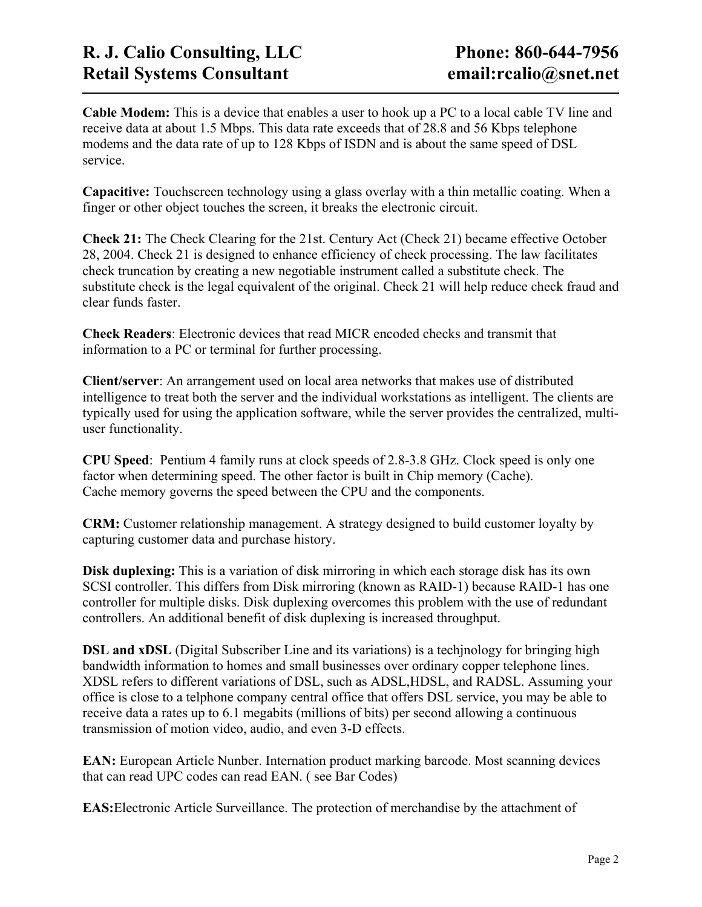**Cable Modem:** This is a device that enables a user to hook up a PC to a local cable TV line and receive data at about 1.5 Mbps. This data rate exceeds that of 28.8 and 56 Kbps telephone modems and the data rate of up to 128 Kbps of ISDN and is about the same speed of DSL service.

**Capacitive:** Touchscreen technology using a glass overlay with a thin metallic coating. When a finger or other object touches the screen, it breaks the electronic circuit.

**Check 21:** The Check Clearing for the 21st. Century Act (Check 21) became effective October 28, 2004. Check 21 is designed to enhance efficiency of check processing. The law facilitates check truncation by creating a new negotiable instrument called a substitute check. The substitute check is the legal equivalent of the original. Check 21 will help reduce check fraud and clear funds faster.

**Check Readers**: Electronic devices that read MICR encoded checks and transmit that information to a PC or terminal for further processing.

**Client/server**: An arrangement used on local area networks that makes use of distributed intelligence to treat both the server and the individual workstations as intelligent. The clients are typically used for using the application software, while the server provides the centralized, multiuser functionality.

**CPU Speed**: Pentium 4 family runs at clock speeds of 2.8-3.8 GHz. Clock speed is only one factor when determining speed. The other factor is built in Chip memory (Cache). Cache memory governs the speed between the CPU and the components.

**CRM:** Customer relationship management. A strategy designed to build customer loyalty by capturing customer data and purchase history.

**Disk duplexing:** This is a variation of disk mirroring in which each storage disk has its own SCSI controller. This differs from Disk mirroring (known as RAID-1) because RAID-1 has one controller for multiple disks. Disk duplexing overcomes this problem with the use of redundant controllers. An additional benefit of disk duplexing is increased throughput.

**DSL and xDSL** (Digital Subscriber Line and its variations) is a techinology for bringing high bandwidth information to homes and small businesses over ordinary copper telephone lines. XDSL refers to different variations of DSL, such as ADSL,HDSL, and RADSL. Assuming your office is close to a telphone company central office that offers DSL service, you may be able to receive data a rates up to 6.1 megabits (millions of bits) per second allowing a continuous transmission of motion video, audio, and even 3-D effects.

**EAN:** European Article Nunber. Internation product marking barcode. Most scanning devices that can read UPC codes can read EAN. ( see Bar Codes)

**EAS:**Electronic Article Surveillance. The protection of merchandise by the attachment of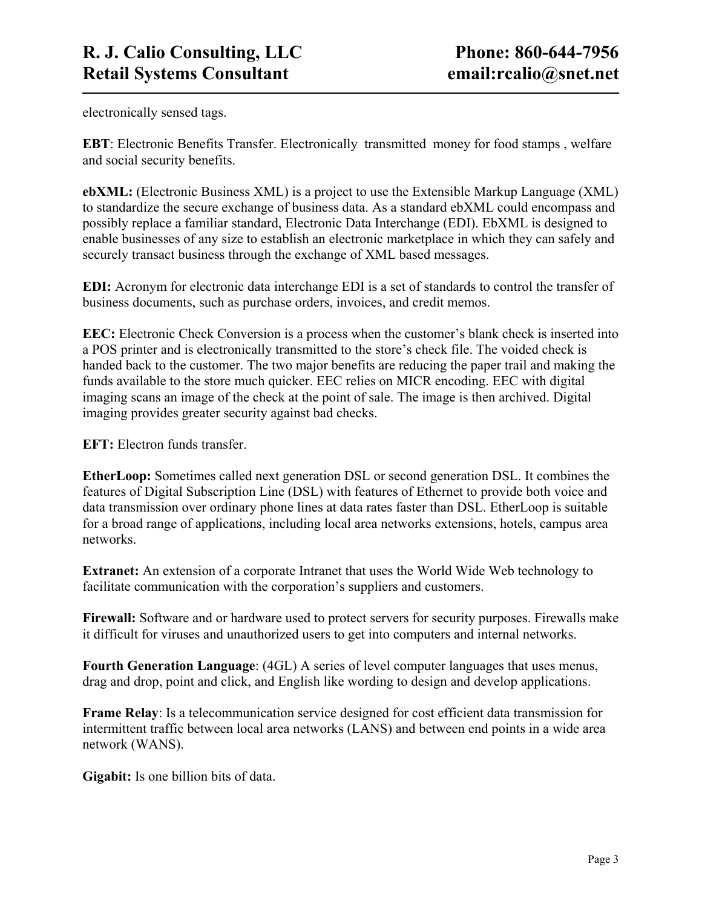electronically sensed tags.

**EBT**: Electronic Benefits Transfer. Electronically transmitted money for food stamps , welfare and social security benefits.

**ebXML:** (Electronic Business XML) is a project to use the Extensible Markup Language (XML) to standardize the secure exchange of business data. As a standard ebXML could encompass and possibly replace a familiar standard, Electronic Data Interchange (EDI). EbXML is designed to enable businesses of any size to establish an electronic marketplace in which they can safely and securely transact business through the exchange of XML based messages.

**EDI:** Acronym for electronic data interchange EDI is a set of standards to control the transfer of business documents, such as purchase orders, invoices, and credit memos.

**EEC:** Electronic Check Conversion is a process when the customer's blank check is inserted into a POS printer and is electronically transmitted to the store's check file. The voided check is handed back to the customer. The two major benefits are reducing the paper trail and making the funds available to the store much quicker. EEC relies on MICR encoding. EEC with digital imaging scans an image of the check at the point of sale. The image is then archived. Digital imaging provides greater security against bad checks.

**EFT:** Electron funds transfer.

**EtherLoop:** Sometimes called next generation DSL or second generation DSL. It combines the features of Digital Subscription Line (DSL) with features of Ethernet to provide both voice and data transmission over ordinary phone lines at data rates faster than DSL. EtherLoop is suitable for a broad range of applications, including local area networks extensions, hotels, campus area networks.

**Extranet:** An extension of a corporate Intranet that uses the World Wide Web technology to facilitate communication with the corporation's suppliers and customers.

**Firewall:** Software and or hardware used to protect servers for security purposes. Firewalls make it difficult for viruses and unauthorized users to get into computers and internal networks.

**Fourth Generation Language**: (4GL) A series of level computer languages that uses menus, drag and drop, point and click, and English like wording to design and develop applications.

**Frame Relay**: Is a telecommunication service designed for cost efficient data transmission for intermittent traffic between local area networks (LANS) and between end points in a wide area network (WANS).

**Gigabit:** Is one billion bits of data.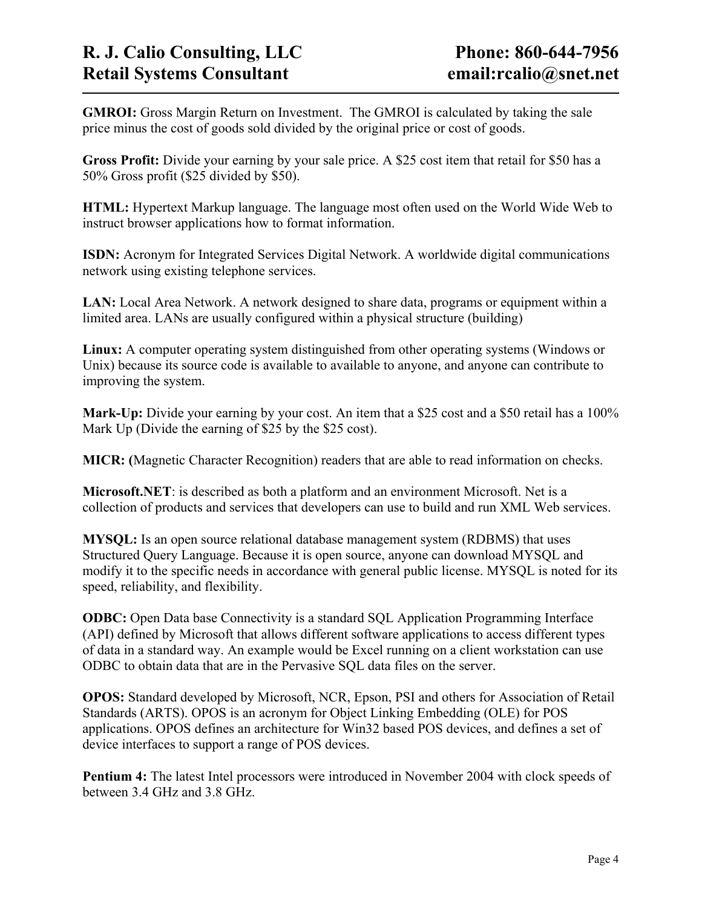**GMROI:** Gross Margin Return on Investment. The GMROI is calculated by taking the sale price minus the cost of goods sold divided by the original price or cost of goods.

**Gross Profit:** Divide your earning by your sale price. A \$25 cost item that retail for \$50 has a 50% Gross profit (\$25 divided by \$50).

**HTML:** Hypertext Markup language. The language most often used on the World Wide Web to instruct browser applications how to format information.

**ISDN:** Acronym for Integrated Services Digital Network. A worldwide digital communications network using existing telephone services.

LAN: Local Area Network. A network designed to share data, programs or equipment within a limited area. LANs are usually configured within a physical structure (building)

**Linux:** A computer operating system distinguished from other operating systems (Windows or Unix) because its source code is available to available to anyone, and anyone can contribute to improving the system.

Mark-Up: Divide your earning by your cost. An item that a \$25 cost and a \$50 retail has a 100% Mark Up (Divide the earning of \$25 by the \$25 cost).

**MICR: (**Magnetic Character Recognition) readers that are able to read information on checks.

**Microsoft.NET**: is described as both a platform and an environment Microsoft. Net is a collection of products and services that developers can use to build and run XML Web services.

**MYSQL:** Is an open source relational database management system (RDBMS) that uses Structured Query Language. Because it is open source, anyone can download MYSQL and modify it to the specific needs in accordance with general public license. MYSQL is noted for its speed, reliability, and flexibility.

**ODBC:** Open Data base Connectivity is a standard SQL Application Programming Interface (API) defined by Microsoft that allows different software applications to access different types of data in a standard way. An example would be Excel running on a client workstation can use ODBC to obtain data that are in the Pervasive SQL data files on the server.

**OPOS:** Standard developed by Microsoft, NCR, Epson, PSI and others for Association of Retail Standards (ARTS). OPOS is an acronym for Object Linking Embedding (OLE) for POS applications. OPOS defines an architecture for Win32 based POS devices, and defines a set of device interfaces to support a range of POS devices.

**Pentium 4:** The latest Intel processors were introduced in November 2004 with clock speeds of between 3.4 GHz and 3.8 GHz.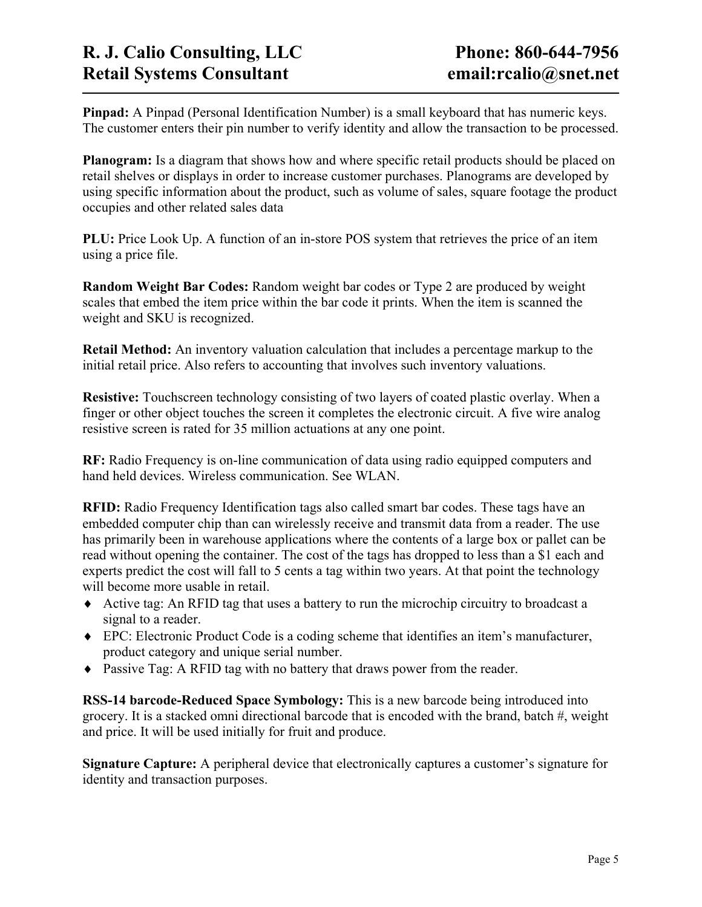**Pinpad:** A Pinpad (Personal Identification Number) is a small keyboard that has numeric keys. The customer enters their pin number to verify identity and allow the transaction to be processed.

**Planogram:** Is a diagram that shows how and where specific retail products should be placed on retail shelves or displays in order to increase customer purchases. Planograms are developed by using specific information about the product, such as volume of sales, square footage the product occupies and other related sales data

**PLU:** Price Look Up. A function of an in-store POS system that retrieves the price of an item using a price file.

**Random Weight Bar Codes:** Random weight bar codes or Type 2 are produced by weight scales that embed the item price within the bar code it prints. When the item is scanned the weight and SKU is recognized.

**Retail Method:** An inventory valuation calculation that includes a percentage markup to the initial retail price. Also refers to accounting that involves such inventory valuations.

**Resistive:** Touchscreen technology consisting of two layers of coated plastic overlay. When a finger or other object touches the screen it completes the electronic circuit. A five wire analog resistive screen is rated for 35 million actuations at any one point.

**RF:** Radio Frequency is on-line communication of data using radio equipped computers and hand held devices. Wireless communication. See WLAN.

**RFID:** Radio Frequency Identification tags also called smart bar codes. These tags have an embedded computer chip than can wirelessly receive and transmit data from a reader. The use has primarily been in warehouse applications where the contents of a large box or pallet can be read without opening the container. The cost of the tags has dropped to less than a \$1 each and experts predict the cost will fall to 5 cents a tag within two years. At that point the technology will become more usable in retail.

- ♦ Active tag: An RFID tag that uses a battery to run the microchip circuitry to broadcast a signal to a reader.
- ♦ EPC: Electronic Product Code is a coding scheme that identifies an item's manufacturer, product category and unique serial number.
- ♦ Passive Tag: A RFID tag with no battery that draws power from the reader.

**RSS-14 barcode-Reduced Space Symbology:** This is a new barcode being introduced into grocery. It is a stacked omni directional barcode that is encoded with the brand, batch #, weight and price. It will be used initially for fruit and produce.

**Signature Capture:** A peripheral device that electronically captures a customer's signature for identity and transaction purposes.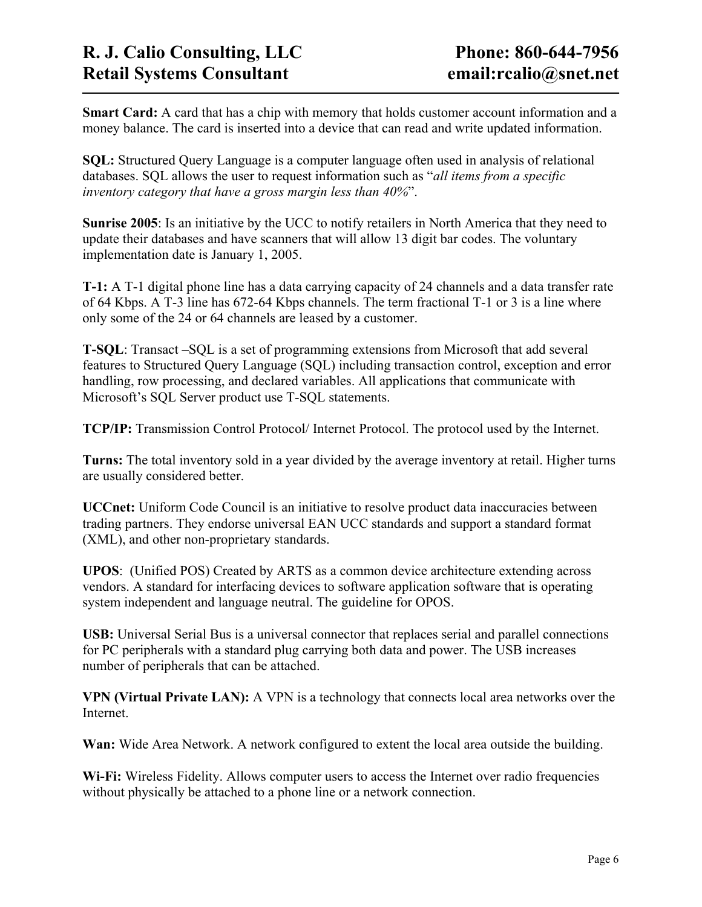**Smart Card:** A card that has a chip with memory that holds customer account information and a money balance. The card is inserted into a device that can read and write updated information.

**SQL:** Structured Query Language is a computer language often used in analysis of relational databases. SQL allows the user to request information such as "*all items from a specific inventory category that have a gross margin less than 40%*".

**Sunrise 2005**: Is an initiative by the UCC to notify retailers in North America that they need to update their databases and have scanners that will allow 13 digit bar codes. The voluntary implementation date is January 1, 2005.

**T-1:** A T-1 digital phone line has a data carrying capacity of 24 channels and a data transfer rate of 64 Kbps. A T-3 line has 672-64 Kbps channels. The term fractional T-1 or 3 is a line where only some of the 24 or 64 channels are leased by a customer.

**T-SQL**: Transact –SQL is a set of programming extensions from Microsoft that add several features to Structured Query Language (SQL) including transaction control, exception and error handling, row processing, and declared variables. All applications that communicate with Microsoft's SQL Server product use T-SQL statements.

**TCP/IP:** Transmission Control Protocol/ Internet Protocol. The protocol used by the Internet.

**Turns:** The total inventory sold in a year divided by the average inventory at retail. Higher turns are usually considered better.

**UCCnet:** Uniform Code Council is an initiative to resolve product data inaccuracies between trading partners. They endorse universal EAN UCC standards and support a standard format (XML), and other non-proprietary standards.

**UPOS**: (Unified POS) Created by ARTS as a common device architecture extending across vendors. A standard for interfacing devices to software application software that is operating system independent and language neutral. The guideline for OPOS.

**USB:** Universal Serial Bus is a universal connector that replaces serial and parallel connections for PC peripherals with a standard plug carrying both data and power. The USB increases number of peripherals that can be attached.

**VPN (Virtual Private LAN):** A VPN is a technology that connects local area networks over the Internet.

**Wan:** Wide Area Network. A network configured to extent the local area outside the building.

**Wi-Fi:** Wireless Fidelity. Allows computer users to access the Internet over radio frequencies without physically be attached to a phone line or a network connection.